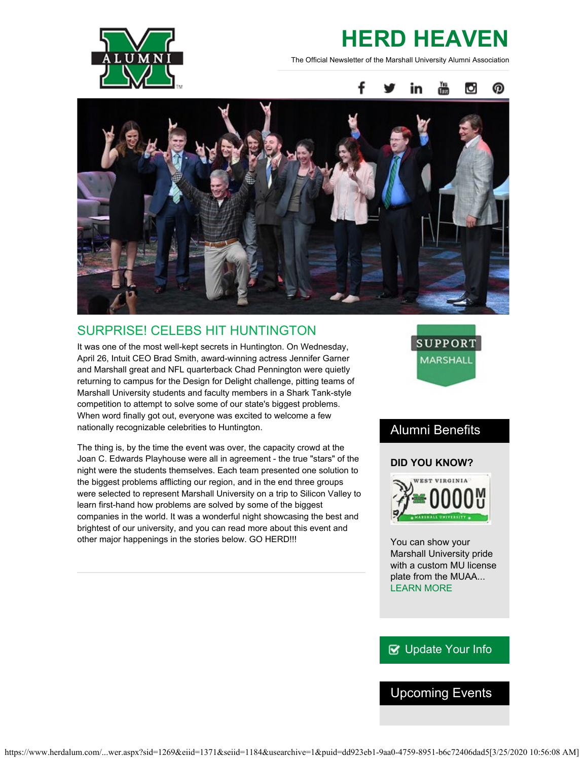

# **HERD HEAVEN**

The Official Newsletter of the Marshall University Alumni Association



### SURPRISE! CELEBS HIT HUNTINGTON

It was one of the most well-kept secrets in Huntington. On Wednesday, April 26, Intuit CEO Brad Smith, award-winning actress Jennifer Garner and Marshall great and NFL quarterback Chad Pennington were quietly returning to campus for the Design for Delight challenge, pitting teams of Marshall University students and faculty members in a Shark Tank-style competition to attempt to solve some of our state's biggest problems. When word finally got out, everyone was excited to welcome a few nationally recognizable celebrities to Huntington.

The thing is, by the time the event was over, the capacity crowd at the Joan C. Edwards Playhouse were all in agreement - the true "stars" of the night were the students themselves. Each team presented one solution to the biggest problems afflicting our region, and in the end three groups were selected to represent Marshall University on a trip to Silicon Valley to learn first-hand how problems are solved by some of the biggest companies in the world. It was a wonderful night showcasing the best and brightest of our university, and you can read more about this event and other major happenings in the stories below. GO HERD!!!



### Alumni Benefits

### **DID YOU KNOW?**



You can show your Marshall University pride with a custom MU license plate from the MUAA... [LEARN MORE](http://www.herdalum.com/s/1269/index.aspx?sid=1269&gid=1&pgid=401)

### **V** [Update Your Info](http://www.herdalum.com/s/1269/index.aspx?sid=1269&gid=1&pgid=6&cid=41#/Search/Simple)

### Upcoming Events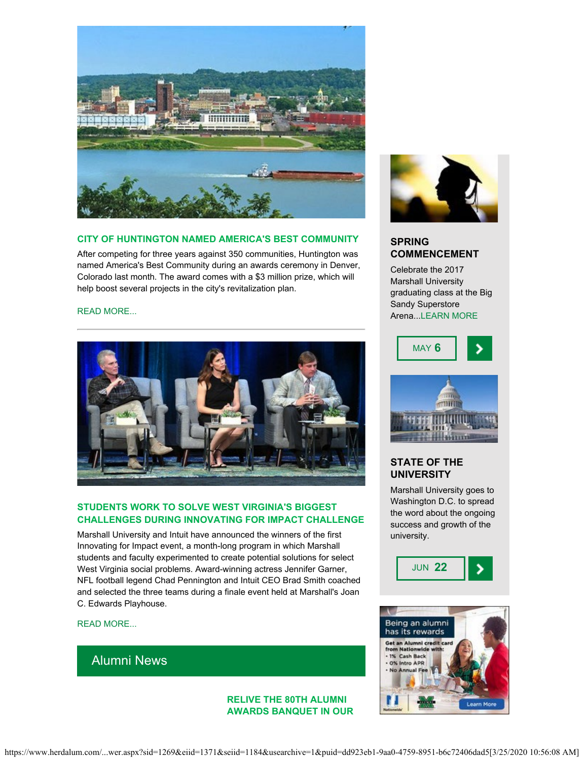

#### **CITY OF HUNTINGTON NAMED AMERICA'S BEST COMMUNITY**

After competing for three years against 350 communities, Huntington was named America's Best Community during an awards ceremony in Denver, Colorado last month. The award comes with a \$3 million prize, which will help boost several projects in the city's revitalization plan.

#### [READ MORE...](http://www.herald-dispatch.com/news/huntington-wins-m-grand-prize-in-competition/article_7963c3ff-055e-5a45-95e2-3eb7b016a386.html)



#### **STUDENTS WORK TO SOLVE WEST VIRGINIA'S BIGGEST CHALLENGES DURING INNOVATING FOR IMPACT CHALLENGE**

Marshall University and Intuit have announced the winners of the first Innovating for Impact event, a month-long program in which Marshall students and faculty experimented to create potential solutions for select West Virginia social problems. Award-winning actress Jennifer Garner, NFL football legend Chad Pennington and Intuit CEO Brad Smith coached and selected the three teams during a finale event held at Marshall's Joan C. Edwards Playhouse.

#### [READ MORE...](https://www.marshall.edu/ucomm/2017/04/27/marshall-students-work-solve-west-virginias-biggest-challenges/)

### Alumni News

#### **RELIVE THE 80TH ALUMNI AWARDS BANQUET IN OUR**



#### **SPRING COMMENCEMENT**

Celebrate the 2017 Marshall University graduating class at the Big Sandy Superstore Arena..[.LEARN MORE](http://www.marshall.edu/commencement/)





#### **STATE OF THE UNIVERSITY**

Marshall University goes to Washington D.C. to spread the word about the ongoing success and growth of the university.



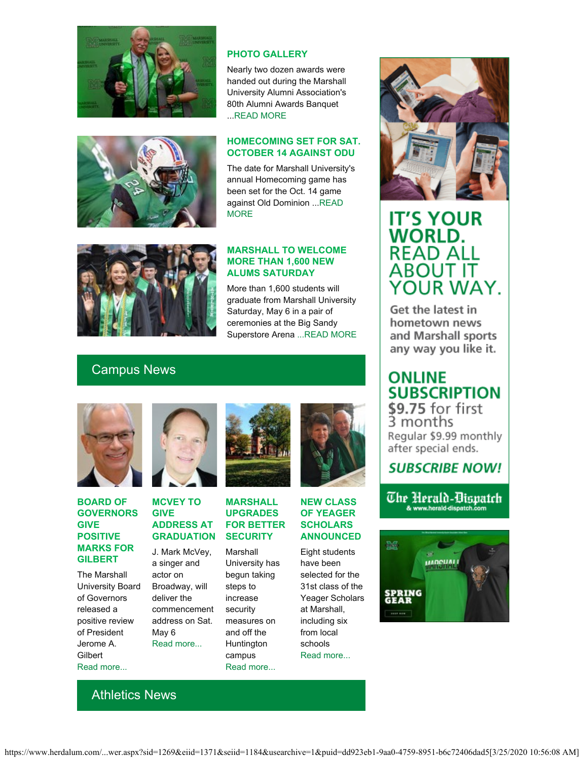

#### **PHOTO GALLERY**

Nearly two dozen awards were handed out during the Marshall University Alumni Association's 80th Alumni Awards Banquet ..[.READ MORE](http://muphotos.marshall.edu/Alumni-Awards-Dinner-April-2017-Rick-Haye/)

#### **HOMECOMING SET FOR SAT. OCTOBER 14 AGAINST ODU**

The date for Marshall University's annual Homecoming game has been set for the Oct. 14 game against Old Dominion ...[READ](http://www.herdzone.com/sports/m-footbl/spec-rel/042517aaa.html) **[MORE](http://www.herdzone.com/sports/m-footbl/spec-rel/042517aaa.html)** 



#### **MARSHALL TO WELCOME MORE THAN 1,600 NEW ALUMS SATURDAY**

More than 1,600 students will graduate from Marshall University Saturday, May 6 in a pair of ceremonies at the Big Sandy Superstore Arena [...READ MORE](http://www.marshall.edu/ucomm/2017/05/1/marshall-conduct-commencement-ceremonies-saturday/)

### Campus News



#### **BOARD OF GOVERNORS GIVE POSITIVE MARKS FOR GILBERT**

The Marshall University Board of Governors released a positive review of President Jerome A. **Gilbert** [Read more...](https://www.marshall.edu/ucomm/2017/04/26/statement-board-governors-regarding-positive-annual-evaluation-president-jerome-gilbert/)



#### **MCVEY TO GIVE ADDRESS AT GRADUATION**

J. Mark McVey, a singer and actor on Broadway, will deliver the commencement address on Sat. May 6 [Read more...](https://www.marshall.edu/ucomm/2017/04/12/mcvey-give-commencement-address-marshall-may-6/)



#### **MARSHALL UPGRADES FOR BETTER SECURITY**

Marshall University has begun taking steps to increase security measures on and off the Huntington campus [Read more...](https://www.marshall.edu/ucomm/2017/05/01/marshall-university-upgrading-outdoor-lighting-connecting-city-off-campus-security/)



#### **NEW CLASS OF YEAGER SCHOLARS ANNOUNCED**

Eight students have been selected for the 31st class of the Yeager Scholars at Marshall, including six from local schools [Read more...](https://www.marshall.edu/ucomm/2017/05/01/new-class-yeager-scholars-announced/)



## **IT'S YOUR WORLD. READ ALL ABOUT IT** YOUR WAY.

Get the latest in hometown news and Marshall sports any way you like it.

### **ONLINE SUBSCRIPTION**

\$9.75 for first<br>3 months Regular \$9.99 monthly after special ends.

### **SUBSCRIBE NOW!**

The Herald-Dispatch & www.herald-dispatch.com



Athletics News